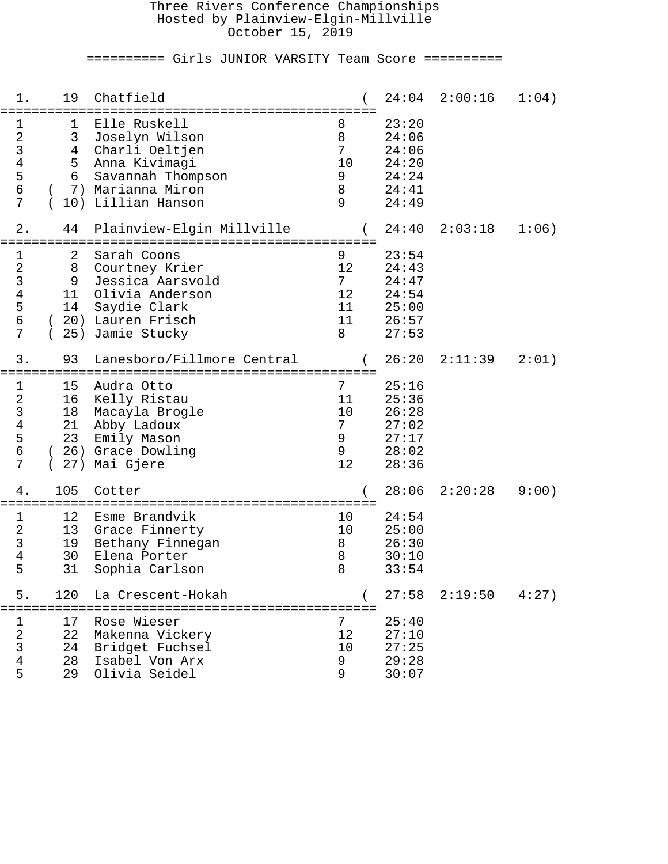## Three Rivers Conference Championships Hosted by Plainview-Elgin-Millville October 15, 2019

========== Girls JUNIOR VARSITY Team Score ==========

| 1.                                                                 | 19                                | Chatfield                                                                                                                                               |                                               | 24:04                                                       | 2:00:16 | 1:04) |
|--------------------------------------------------------------------|-----------------------------------|---------------------------------------------------------------------------------------------------------------------------------------------------------|-----------------------------------------------|-------------------------------------------------------------|---------|-------|
| 1<br>$\sqrt{2}$<br>$\mathsf{3}$<br>$\,4$<br>5<br>$\epsilon$<br>7   | 1<br>3<br>4<br>5<br>6<br>10)      | Elle Ruskell<br>Joselyn Wilson<br>Charli Oeltjen<br>Anna Kivimagi<br>Savannah Thompson<br>7) Marianna Miron<br>Lillian Hanson                           | 8<br>8<br>7<br>10<br>9<br>$\,8\,$<br>9        | 23:20<br>24:06<br>24:06<br>24:20<br>24:24<br>24:41<br>24:49 |         |       |
| 2.                                                                 | 44                                | Plainview-Elgin Millville                                                                                                                               |                                               | 24:40                                                       | 2:03:18 | 1:06) |
| 1<br>$\sqrt{2}$<br>$\mathfrak{Z}$<br>$\,4$<br>5<br>$\epsilon$<br>7 | 2<br>8<br>9<br>11<br>14<br>25)    | ==========================<br>Sarah Coons<br>Courtney Krier<br>Jessica Aarsvold<br>Olivia Anderson<br>Saydie Clark<br>20) Lauren Frisch<br>Jamie Stucky | 9<br>12<br>$7^{\circ}$<br>12<br>11<br>11<br>8 | 23:54<br>24:43<br>24:47<br>24:54<br>25:00<br>26:57<br>27:53 |         |       |
| 3.                                                                 | 93                                | Lanesboro/Fillmore Central<br>=====================                                                                                                     |                                               | 26:20                                                       | 2:11:39 | 2:01) |
| 1<br>$\sqrt{2}$<br>$\mathsf{3}$<br>$\bf 4$<br>5<br>$\epsilon$<br>7 | 15<br>16<br>18<br>21<br>23<br>27) | Audra Otto<br>Kelly Ristau<br>Macayla Brogle<br>Abby Ladoux<br>Emily Mason<br>26) Grace Dowling<br>Mai Gjere                                            | 7<br>11<br>10<br>7<br>9<br>$\mathsf 9$<br>12  | 25:16<br>25:36<br>26:28<br>27:02<br>27:17<br>28:02<br>28:36 |         |       |
| 4.                                                                 | 105                               | Cotter                                                                                                                                                  |                                               | 28:06                                                       | 2:20:28 | 9:00) |
| 1<br>$\sqrt{2}$<br>$\mathsf{3}$<br>$\overline{4}$<br>5             | 12<br>13<br>19<br>30<br>31        | Esme Brandvik<br>Grace Finnerty<br>Bethany Finnegan<br>Elena Porter<br>Sophia Carlson                                                                   | 10<br>10<br>8<br>8<br>8                       | 24:54<br>25:00<br>26:30<br>30:10<br>33:54                   |         |       |
| 5.                                                                 | 120                               | La Crescent-Hokah                                                                                                                                       |                                               | 27:58                                                       | 2:19:50 | 4:27) |
| 1<br>$\overline{2}$<br>$\mathfrak{Z}$<br>$\bf 4$<br>5              | 17<br>22<br>24<br>28<br>29        | Rose Wieser<br>Makenna Vickery<br>Bridget Fuchsel<br>Isabel Von Arx<br>Olivia Seidel                                                                    | 7<br>12<br>10<br>9<br>9                       | 25:40<br>27:10<br>27:25<br>29:28<br>30:07                   |         |       |